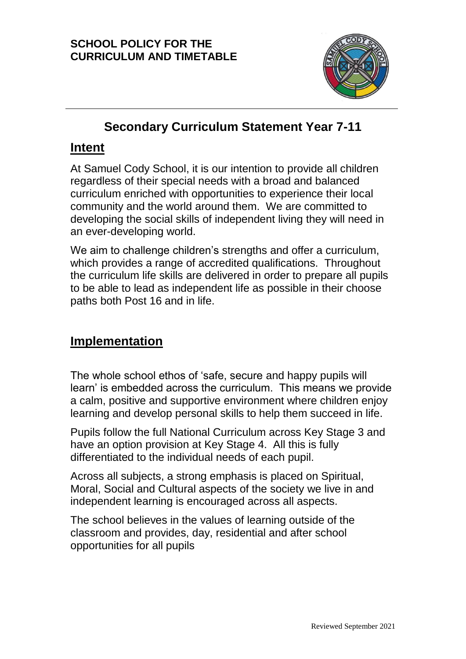

# **Secondary Curriculum Statement Year 7-11**

## **Intent**

At Samuel Cody School, it is our intention to provide all children regardless of their special needs with a broad and balanced curriculum enriched with opportunities to experience their local community and the world around them. We are committed to developing the social skills of independent living they will need in an ever-developing world.

We aim to challenge children's strengths and offer a curriculum, which provides a range of accredited qualifications. Throughout the curriculum life skills are delivered in order to prepare all pupils to be able to lead as independent life as possible in their choose paths both Post 16 and in life.

# **Implementation**

The whole school ethos of 'safe, secure and happy pupils will learn' is embedded across the curriculum. This means we provide a calm, positive and supportive environment where children enjoy learning and develop personal skills to help them succeed in life.

Pupils follow the full National Curriculum across Key Stage 3 and have an option provision at Key Stage 4. All this is fully differentiated to the individual needs of each pupil.

Across all subjects, a strong emphasis is placed on Spiritual, Moral, Social and Cultural aspects of the society we live in and independent learning is encouraged across all aspects.

The school believes in the values of learning outside of the classroom and provides, day, residential and after school opportunities for all pupils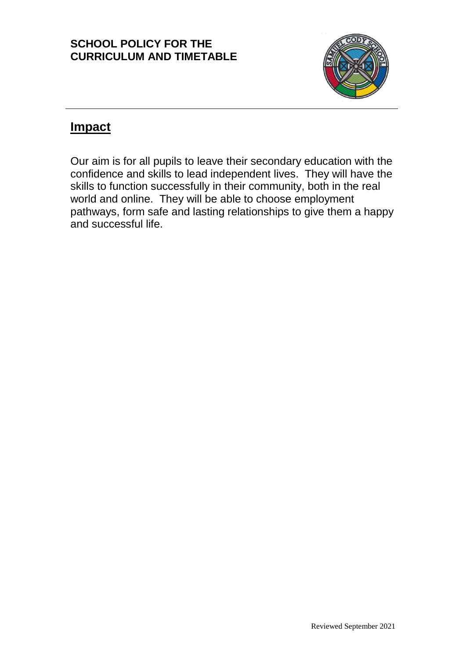

# **Impact**

Our aim is for all pupils to leave their secondary education with the confidence and skills to lead independent lives. They will have the skills to function successfully in their community, both in the real world and online. They will be able to choose employment pathways, form safe and lasting relationships to give them a happy and successful life.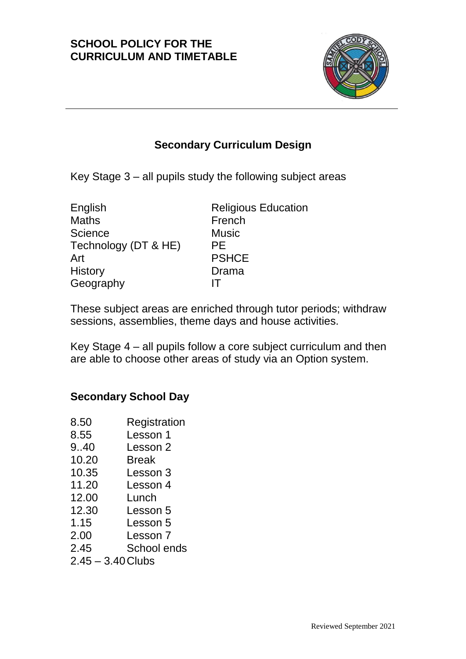

## **Secondary Curriculum Design**

Key Stage 3 – all pupils study the following subject areas

| English              | <b>Religious Education</b> |
|----------------------|----------------------------|
| <b>Maths</b>         | French                     |
| Science              | <b>Music</b>               |
| Technology (DT & HE) | РE                         |
| Art                  | <b>PSHCE</b>               |
| <b>History</b>       | Drama                      |
| Geography            |                            |

These subject areas are enriched through tutor periods; withdraw sessions, assemblies, theme days and house activities.

Key Stage 4 – all pupils follow a core subject curriculum and then are able to choose other areas of study via an Option system.

### **Secondary School Day**

- 8.50 Registration
- 8.55 Lesson 1
- 9..40 Lesson 2
- 10.20 Break
- 10.35 Lesson 3
- 11.20 Lesson 4
- 12.00 Lunch
- 12.30 Lesson 5
- 1.15 Lesson 5
- 2.00 Lesson 7
- 2.45 School ends
- $2.45 3.40$  Clubs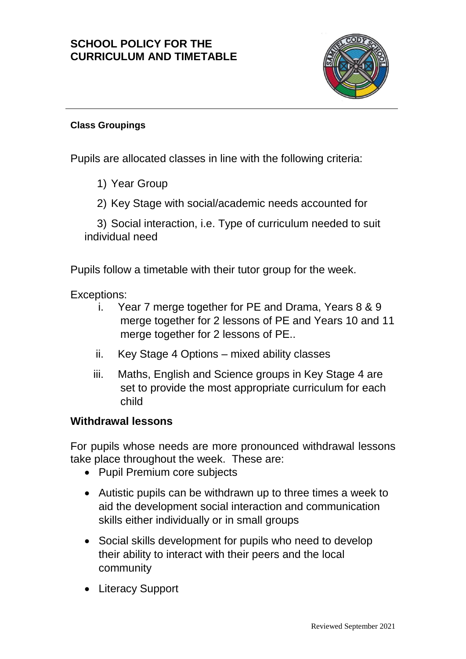

#### **Class Groupings**

Pupils are allocated classes in line with the following criteria:

1) Year Group

2) Key Stage with social/academic needs accounted for

3) Social interaction, i.e. Type of curriculum needed to suit individual need

Pupils follow a timetable with their tutor group for the week.

Exceptions:

- i. Year 7 merge together for PE and Drama, Years 8 & 9 merge together for 2 lessons of PE and Years 10 and 11 merge together for 2 lessons of PE..
- ii. Key Stage 4 Options mixed ability classes
- iii. Maths, English and Science groups in Key Stage 4 are set to provide the most appropriate curriculum for each child

#### **Withdrawal lessons**

For pupils whose needs are more pronounced withdrawal lessons take place throughout the week. These are:

- Pupil Premium core subjects
- Autistic pupils can be withdrawn up to three times a week to aid the development social interaction and communication skills either individually or in small groups
- Social skills development for pupils who need to develop their ability to interact with their peers and the local community
- Literacy Support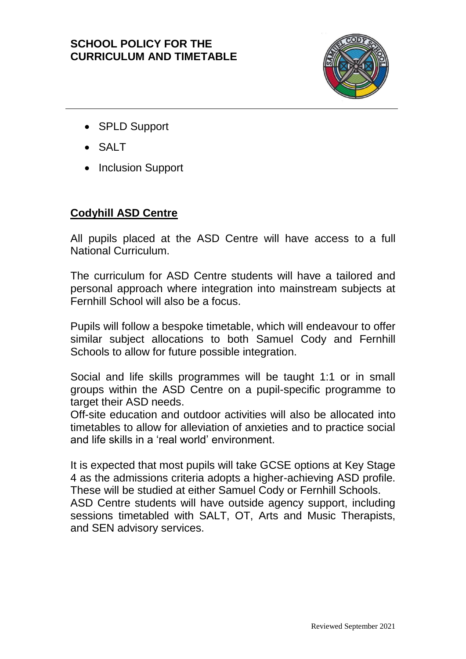

- SPLD Support
- $\bullet$  SALT
- Inclusion Support

### **Codyhill ASD Centre**

All pupils placed at the ASD Centre will have access to a full National Curriculum.

The curriculum for ASD Centre students will have a tailored and personal approach where integration into mainstream subjects at Fernhill School will also be a focus.

Pupils will follow a bespoke timetable, which will endeavour to offer similar subject allocations to both Samuel Cody and Fernhill Schools to allow for future possible integration.

Social and life skills programmes will be taught 1:1 or in small groups within the ASD Centre on a pupil-specific programme to target their ASD needs.

Off-site education and outdoor activities will also be allocated into timetables to allow for alleviation of anxieties and to practice social and life skills in a 'real world' environment.

It is expected that most pupils will take GCSE options at Key Stage 4 as the admissions criteria adopts a higher-achieving ASD profile. These will be studied at either Samuel Cody or Fernhill Schools. ASD Centre students will have outside agency support, including sessions timetabled with SALT, OT, Arts and Music Therapists, and SEN advisory services.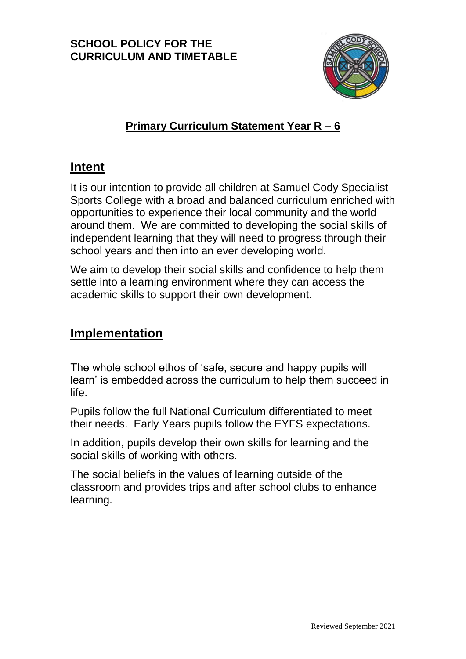

## **Primary Curriculum Statement Year R – 6**

# **Intent**

It is our intention to provide all children at Samuel Cody Specialist Sports College with a broad and balanced curriculum enriched with opportunities to experience their local community and the world around them. We are committed to developing the social skills of independent learning that they will need to progress through their school years and then into an ever developing world.

We aim to develop their social skills and confidence to help them settle into a learning environment where they can access the academic skills to support their own development.

# **Implementation**

The whole school ethos of 'safe, secure and happy pupils will learn' is embedded across the curriculum to help them succeed in life.

Pupils follow the full National Curriculum differentiated to meet their needs. Early Years pupils follow the EYFS expectations.

In addition, pupils develop their own skills for learning and the social skills of working with others.

The social beliefs in the values of learning outside of the classroom and provides trips and after school clubs to enhance learning.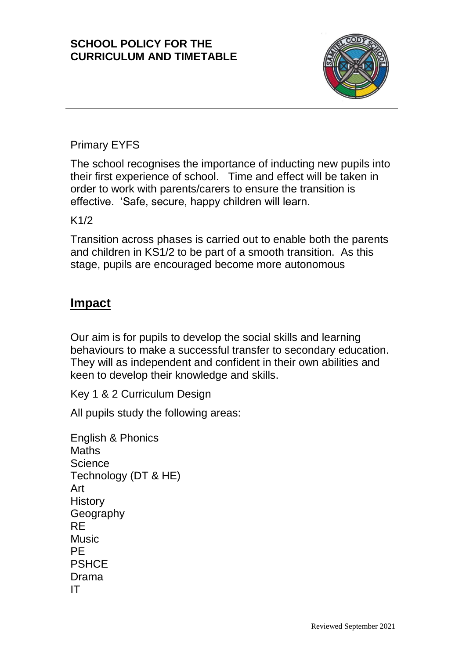

### Primary EYFS

The school recognises the importance of inducting new pupils into their first experience of school. Time and effect will be taken in order to work with parents/carers to ensure the transition is effective. 'Safe, secure, happy children will learn.

#### K1/2

Transition across phases is carried out to enable both the parents and children in KS1/2 to be part of a smooth transition. As this stage, pupils are encouraged become more autonomous

## **Impact**

Our aim is for pupils to develop the social skills and learning behaviours to make a successful transfer to secondary education. They will as independent and confident in their own abilities and keen to develop their knowledge and skills.

Key 1 & 2 Curriculum Design

All pupils study the following areas:

English & Phonics **Maths Science** Technology (DT & HE) Art **History Geography** RE **Music** PE **PSHCE** Drama IT